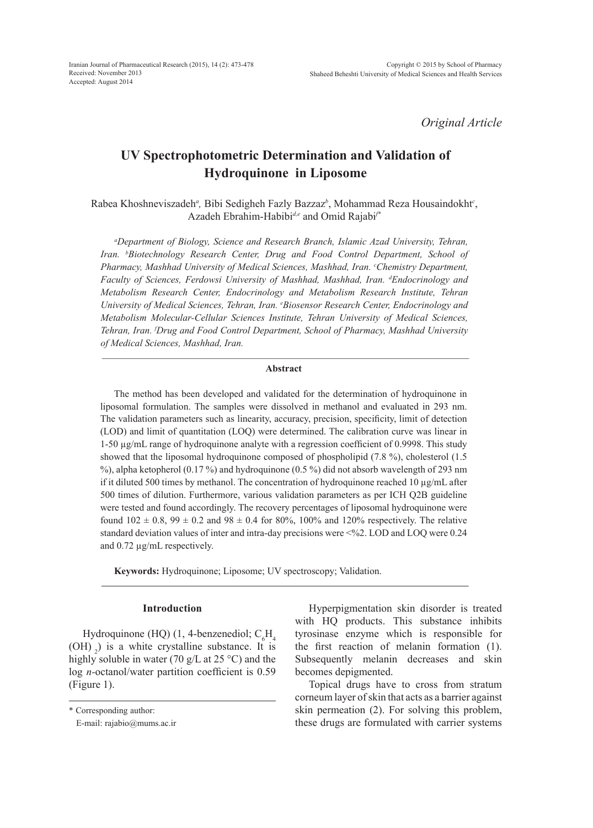*Original Article*

# **UV Spectrophotometric Determination and Validation of Hydroquinone in Liposome**

Rabea Khoshneviszadeh<sup>a</sup>, Bibi Sedigheh Fazly Bazzaz<sup>b</sup>, Mohammad Reza Housaindokht<sup>c</sup>, Azadeh Ebrahim-Habibi*d,e* and Omid Rajabi*f\**

*a Department of Biology, Science and Research Branch, Islamic Azad University, Tehran, Iran. b Biotechnology Research Center, Drug and Food Control Department, School of Pharmacy, Mashhad University of Medical Sciences, Mashhad, Iran. c Chemistry Department, Faculty of Sciences, Ferdowsi University of Mashhad, Mashhad, Iran. d Endocrinology and Metabolism Research Center, Endocrinology and Metabolism Research Institute, Tehran*  University of Medical Sciences, Tehran, Iran. <sup>e</sup> Biosensor Research Center, Endocrinology and *Metabolism Molecular-Cellular Sciences Institute, Tehran University of Medical Sciences, Tehran, Iran. f Drug and Food Control Department, School of Pharmacy, Mashhad University of Medical Sciences, Mashhad, Iran.*

### **Abstract**

The method has been developed and validated for the determination of hydroquinone in liposomal formulation. The samples were dissolved in methanol and evaluated in 293 nm. The validation parameters such as linearity, accuracy, precision, specificity, limit of detection (LOD) and limit of quantitation (LOQ) were determined. The calibration curve was linear in 1-50 µg/mL range of hydroquinone analyte with a regression coefficient of 0.9998. This study showed that the liposomal hydroquinone composed of phospholipid (7.8 %), cholesterol (1.5 %), alpha ketopherol (0.17 %) and hydroquinone (0.5 %) did not absorb wavelength of 293 nm if it diluted 500 times by methanol. The concentration of hydroquinone reached 10  $\mu$ g/mL after 500 times of dilution. Furthermore, various validation parameters as per ICH Q2B guideline were tested and found accordingly. The recovery percentages of liposomal hydroquinone were found  $102 \pm 0.8$ ,  $99 \pm 0.2$  and  $98 \pm 0.4$  for  $80\%$ ,  $100\%$  and  $120\%$  respectively. The relative standard deviation values of inter and intra-day precisions were <%2. LOD and LOQ were 0.24 and 0.72 µg/mL respectively.

**Keywords:** Hydroquinone; Liposome; UV spectroscopy; Validation.

# **Introduction**

Hydroquinone (HQ) (1, 4-benzenediol;  $C_6H_4$  $(OH)$ , is a white crystalline substance. It is highly soluble in water (70 g/L at 25 °C) and the log *n-*octanol/water partition coefficient is 0.59 (Figure 1).

Hyperpigmentation skin disorder is treated with HQ products. This substance inhibits tyrosinase enzyme which is responsible for the first reaction of melanin formation (1). Subsequently melanin decreases and skin becomes depigmented.

Topical drugs have to cross from stratum corneum layer of skin that acts as a barrier against skin permeation (2). For solving this problem, these drugs are formulated with carrier systems

<sup>\*</sup> Corresponding author:

E-mail: rajabio@mums.ac.ir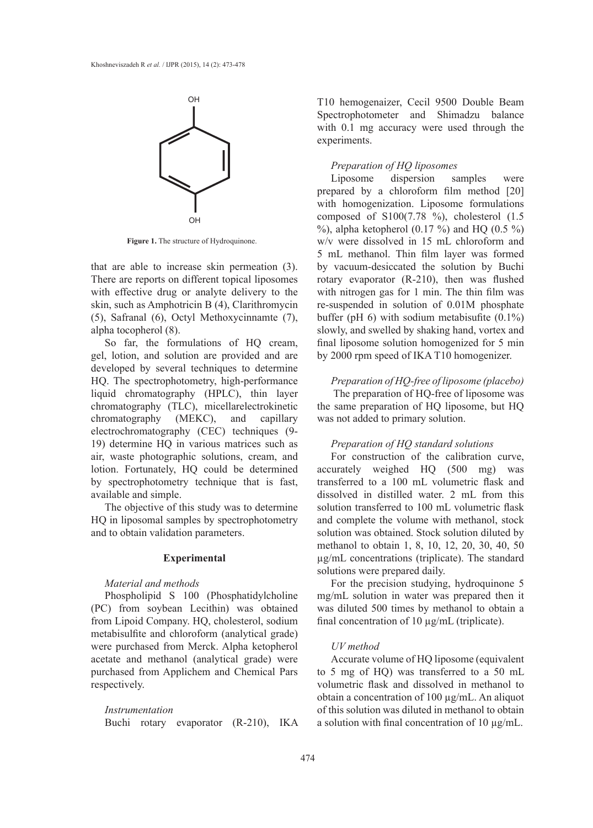

**Figure 1.** The structure of Hydroquinone.

that are able to increase skin permeation (3). There are reports on different topical liposomes with effective drug or analyte delivery to the skin, such as Amphotricin B (4), Clarithromycin (5), Safranal (6), Octyl Methoxycinnamte (7), alpha tocopherol (8).

So far, the formulations of HQ cream, gel, lotion, and solution are provided and are developed by several techniques to determine HQ. The spectrophotometry, high-performance liquid chromatography (HPLC), thin layer chromatography (TLC), micellarelectrokinetic chromatography (MEKC), and capillary electrochromatography (CEC) techniques (9- 19) determine HQ in various matrices such as air, waste photographic solutions, cream, and lotion. Fortunately, HQ could be determined by spectrophotometry technique that is fast, available and simple.

The objective of this study was to determine HQ in liposomal samples by spectrophotometry and to obtain validation parameters.

# **Experimental**

# *Material and methods*

Phospholipid S 100 (Phosphatidylcholine (PC) from soybean Lecithin) was obtained from Lipoid Company. HQ, cholesterol, sodium metabisulfite and chloroform (analytical grade) were purchased from Merck. Alpha ketopherol acetate and methanol (analytical grade) were purchased from Applichem and Chemical Pars respectively.

#### *Instrumentation*

Buchi rotary evaporator (R-210), IKA

T10 hemogenaizer, Cecil 9500 Double Beam Spectrophotometer and Shimadzu balance with 0.1 mg accuracy were used through the experiments.

# *Preparation of HQ liposomes*

Liposome dispersion samples were prepared by a chloroform film method [20] with homogenization. Liposome formulations composed of S100(7.78 %), cholesterol (1.5 %), alpha ketopherol  $(0.17 \%)$  and HQ  $(0.5 \%)$ w/v were dissolved in 15 mL chloroform and 5 mL methanol. Thin film layer was formed by vacuum-desiccated the solution by Buchi rotary evaporator (R-210), then was flushed with nitrogen gas for 1 min. The thin film was re-suspended in solution of 0.01M phosphate buffer (pH 6) with sodium metabisufite  $(0.1\%)$ slowly, and swelled by shaking hand, vortex and final liposome solution homogenized for 5 min by 2000 rpm speed of IKA T10 homogenizer.

*Preparation of HQ-free of liposome (placebo)* The preparation of HQ-free of liposome was the same preparation of HQ liposome, but HQ was not added to primary solution.

### *Preparation of HQ standard solutions*

For construction of the calibration curve, accurately weighed HQ (500 mg) was transferred to a 100 mL volumetric flask and dissolved in distilled water. 2 mL from this solution transferred to 100 mL volumetric flask and complete the volume with methanol, stock solution was obtained. Stock solution diluted by methanol to obtain 1, 8, 10, 12, 20, 30, 40, 50 µg/mL concentrations (triplicate). The standard solutions were prepared daily.

For the precision studying, hydroquinone 5 mg/mL solution in water was prepared then it was diluted 500 times by methanol to obtain a final concentration of 10 µg/mL (triplicate).

# *UV method*

Accurate volume of HQ liposome (equivalent to 5 mg of HQ) was transferred to a 50 mL volumetric flask and dissolved in methanol to obtain a concentration of 100 µg/mL. An aliquot of this solution was diluted in methanol to obtain a solution with final concentration of 10 µg/mL.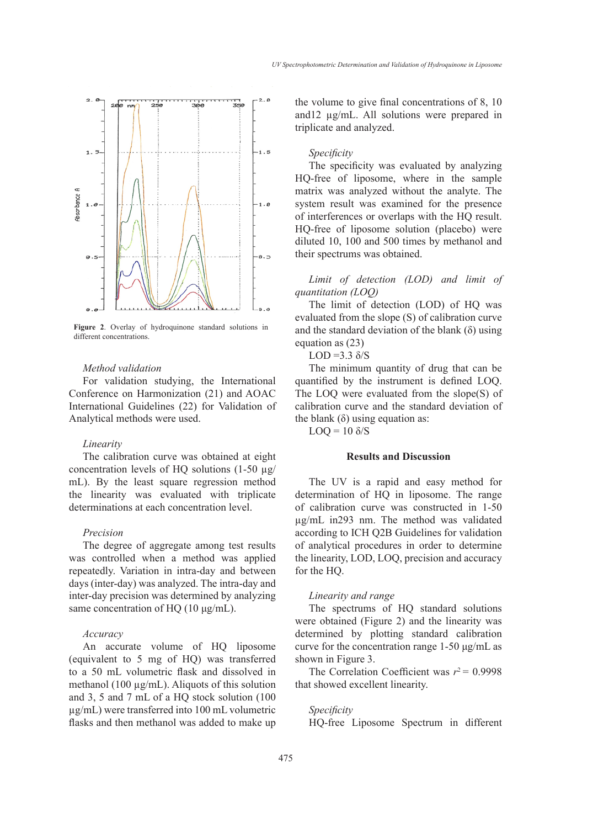

**Figure 2**. Overlay of hydroquinone standard solutions in different concentrations.

### *Method validation*

For validation studying, the International Conference on Harmonization (21) and AOAC International Guidelines (22) for Validation of Analytical methods were used.

### *Linearity*

The calibration curve was obtained at eight concentration levels of HQ solutions  $(1-50 \mu g)$ mL). By the least square regression method the linearity was evaluated with triplicate determinations at each concentration level.

# *Precision*

The degree of aggregate among test results was controlled when a method was applied repeatedly. Variation in intra-day and between days (inter-day) was analyzed. The intra-day and inter-day precision was determined by analyzing same concentration of HQ (10 μg/mL).

#### *Accuracy*

An accurate volume of HQ liposome (equivalent to 5 mg of HQ) was transferred to a 50 mL volumetric flask and dissolved in methanol (100 µg/mL). Aliquots of this solution and 3, 5 and 7 mL of a HQ stock solution (100 µg/mL) were transferred into 100 mL volumetric flasks and then methanol was added to make up the volume to give final concentrations of 8, 10 and12 µg/mL. All solutions were prepared in triplicate and analyzed.

# *Specificity*

The specificity was evaluated by analyzing HQ-free of liposome, where in the sample matrix was analyzed without the analyte. The system result was examined for the presence of interferences or overlaps with the HQ result. HQ-free of liposome solution (placebo) were diluted 10, 100 and 500 times by methanol and their spectrums was obtained.

*Limit of detection (LOD) and limit of quantitation (LOQ)*

The limit of detection (LOD) of HQ was evaluated from the slope (S) of calibration curve and the standard deviation of the blank  $(\delta)$  using equation as (23)

LOD =  $3.3 \delta/S$ 

The minimum quantity of drug that can be quantified by the instrument is defined LOQ. The LOQ were evaluated from the slope(S) of calibration curve and the standard deviation of the blank  $(\delta)$  using equation as:

 $LOQ = 10 \delta/S$ 

# **Results and Discussion**

The UV is a rapid and easy method for determination of HQ in liposome. The range of calibration curve was constructed in 1-50 µg/mL in293 nm. The method was validated according to ICH Q2B Guidelines for validation of analytical procedures in order to determine the linearity, LOD, LOQ, precision and accuracy for the HQ.

### *Linearity and range*

The spectrums of HQ standard solutions were obtained (Figure 2) and the linearity was determined by plotting standard calibration curve for the concentration range 1-50 μg/mL as shown in Figure 3.

The Correlation Coefficient was  $r^2$  = 0.9998 that showed excellent linearity.

# *Specificity*

HQ-free Liposome Spectrum in different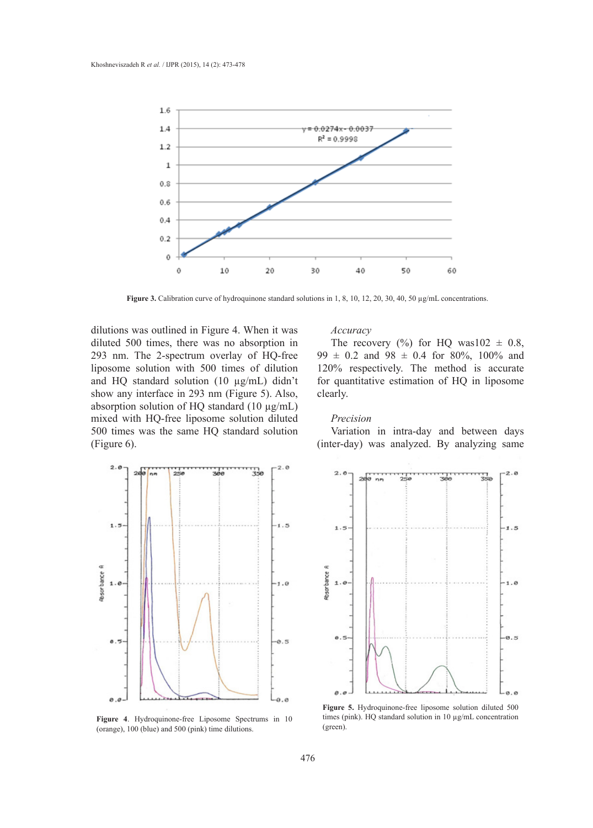

**Figure 3.** Calibration curve of hydroquinone standard solutions in 1, 8, 10, 12, 20, 30, 40, 50 µg/mL concentrations.

dilutions was outlined in Figure 4. When it was diluted 500 times, there was no absorption in 293 nm. The 2-spectrum overlay of HQ-free liposome solution with 500 times of dilution and HQ standard solution (10 µg/mL) didn't show any interface in 293 nm (Figure 5). Also, absorption solution of HQ standard (10 µg/mL) mixed with HQ-free liposome solution diluted 500 times was the same HQ standard solution (Figure 6).



**Figure 4**. Hydroquinone-free Liposome Spectrums in 10 (orange), 100 (blue) and 500 (pink) time dilutions.

# *Accuracy*

The recovery  $(\%)$  for HQ was102  $\pm$  0.8,  $99 \pm 0.2$  and  $98 \pm 0.4$  for 80%, 100% and 120% respectively. The method is accurate for quantitative estimation of HQ in liposome clearly.

### *Precision*

Variation in intra-day and between days (inter-day) was analyzed. By analyzing same



**Figure 5.** Hydroquinone-free liposome solution diluted 500 times (pink). HQ standard solution in 10 µg/mL concentration (green).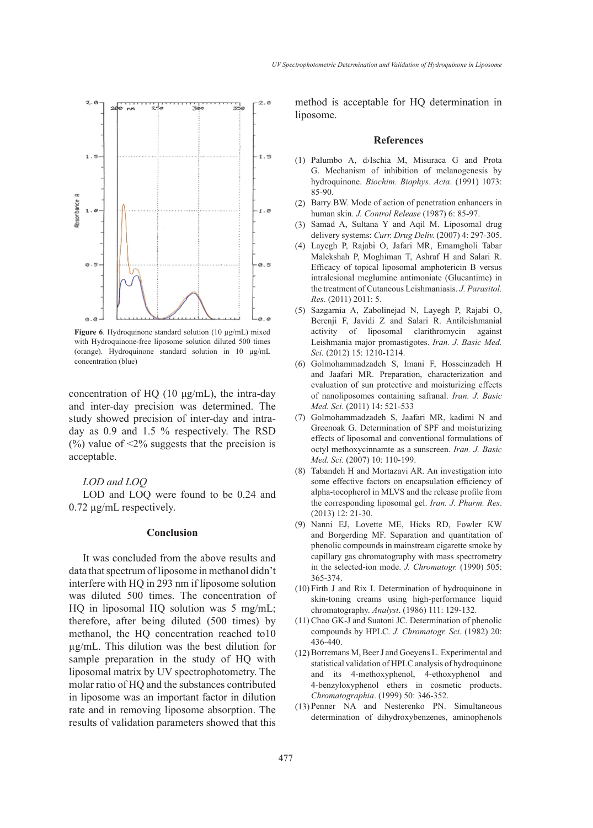

**Figure 6**. Hydroquinone standard solution (10 µg/mL) mixed with Hydroquinone-free liposome solution diluted 500 times (orange). Hydroquinone standard solution in 10 µg/mL concentration (blue)

concentration of HQ (10 μg/mL), the intra-day and inter-day precision was determined. The study showed precision of inter-day and intraday as 0.9 and 1.5 % respectively. The RSD  $(%)$  value of  $\leq$ 2% suggests that the precision is acceptable.

# *LOD and LOQ*

LOD and LOQ were found to be 0.24 and 0.72 µg/mL respectively.

#### **Conclusion**

It was concluded from the above results and data that spectrum of liposome in methanol didn't interfere with HQ in 293 nm if liposome solution was diluted 500 times. The concentration of HQ in liposomal HQ solution was 5 mg/mL; therefore, after being diluted (500 times) by methanol, the HQ concentration reached to10 µg/mL. This dilution was the best dilution for sample preparation in the study of HQ with liposomal matrix by UV spectrophotometry. The molar ratio of HQ and the substances contributed in liposome was an important factor in dilution rate and in removing liposome absorption. The results of validation parameters showed that this method is acceptable for HQ determination in liposome.

#### **References**

- Palumbo A, d›Ischia M, Misuraca G and Prota (1) G. Mechanism of inhibition of melanogenesis by hydroquinone. *Biochim. Biophys. Acta*. (1991) 1073: 85-90.
- (2) Barry BW. Mode of action of penetration enhancers in human skin. *J. Control Release* (1987) 6: 85-97.
- Samad A, Sultana Y and Aqil M. Liposomal drug (3) delivery systems: *Curr. Drug Deliv.* (2007) 4: 297-305.
- Layegh P, Rajabi O, Jafari MR, Emamgholi Tabar (4) Malekshah P, Moghiman T, Ashraf H and Salari R. Efficacy of topical liposomal amphotericin B versus intralesional meglumine antimoniate (Glucantime) in the treatment of Cutaneous Leishmaniasis. *J. Parasitol. Res*. (2011) 2011: 5.
- Sazgarnia A, Zabolinejad N, Layegh P, Rajabi O, (5) Berenji F, Javidi Z and Salari R. Antileishmanial activity of liposomal clarithromycin against Leishmania major promastigotes. *Iran. J. Basic Med. Sci.* (2012) 15: 1210-1214.
- Golmohammadzadeh S, Imani F, Hosseinzadeh H (6) and Jaafari MR. Preparation, characterization and evaluation of sun protective and moisturizing effects of nanoliposomes containing safranal. *Iran. J. Basic Med. Sci.* (2011) 14: 521-533
- Golmohammadzadeh S, Jaafari MR, kadimi N and (7) Greenoak G. Determination of SPF and moisturizing effects of liposomal and conventional formulations of octyl methoxycinnamte as a sunscreen. *Iran. J. Basic Med. Sci.* (2007) 10: 110-199.
- Tabandeh H and Mortazavi AR. An investigation into (8) some effective factors on encapsulation efficiency of alpha-tocopherol in MLVS and the release profile from the corresponding liposomal gel. *Iran. J. Pharm. Res*. (2013) 12: 21-30.
- (9) Nanni EJ, Lovette ME, Hicks RD, Fowler KW and Borgerding MF. Separation and quantitation of phenolic compounds in mainstream cigarette smoke by capillary gas chromatography with mass spectrometry in the selected-ion mode. *J. Chromatogr.* (1990) 505: 365-374.
- $(10)$  Firth J and Rix I. Determination of hydroquinone in skin-toning creams using high-performance liquid chromatography. *Analyst*. (1986) 111: 129-132.
- $(11)$  Chao GK-J and Suatoni JC. Determination of phenolic compounds by HPLC. *J. Chromatogr. Sci.* (1982) 20: 436-440.
- (12) Borremans M, Beer J and Goeyens L. Experimental and statistical validation of HPLC analysis of hydroquinone and its 4-methoxyphenol, 4-ethoxyphenol and 4-benzyloxyphenol ethers in cosmetic products. *Chromatographia*. (1999) 50: 346-352.
- (13) Penner NA and Nesterenko PN. Simultaneous determination of dihydroxybenzenes, aminophenols